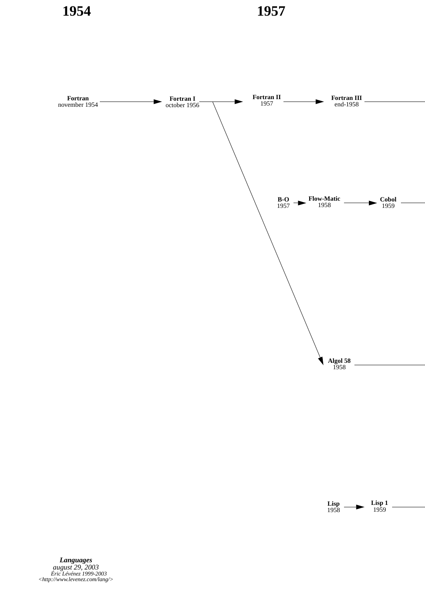

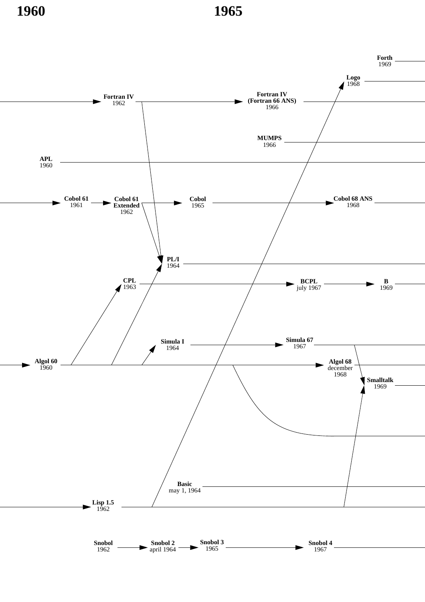**1960 1965**

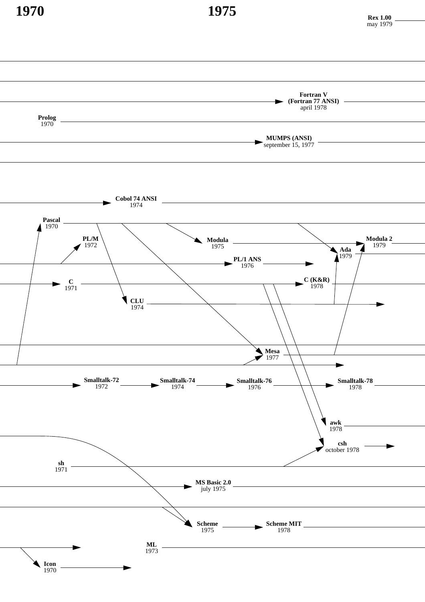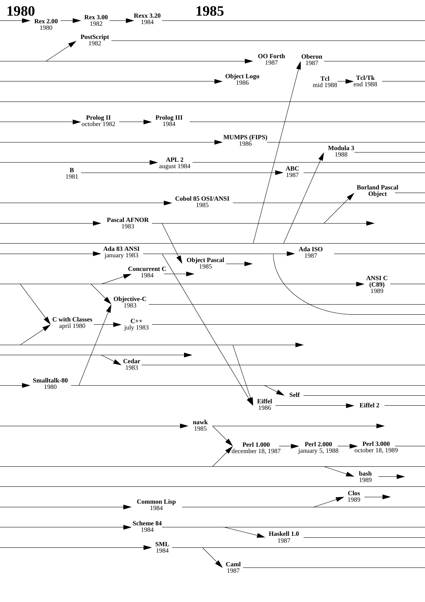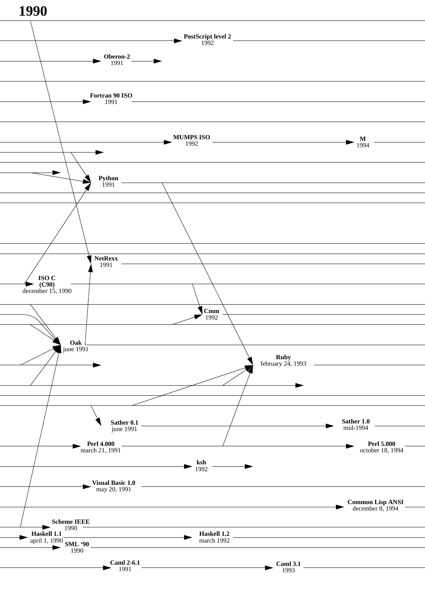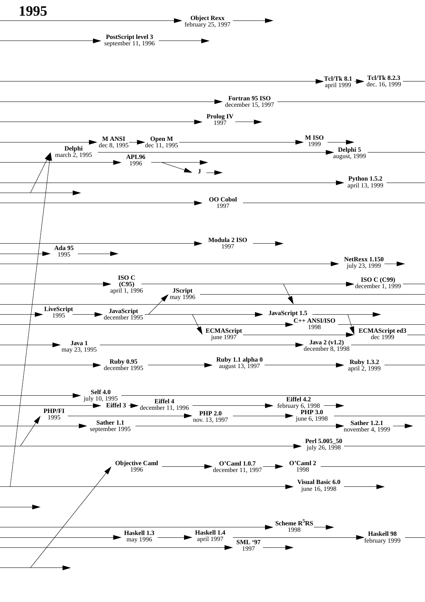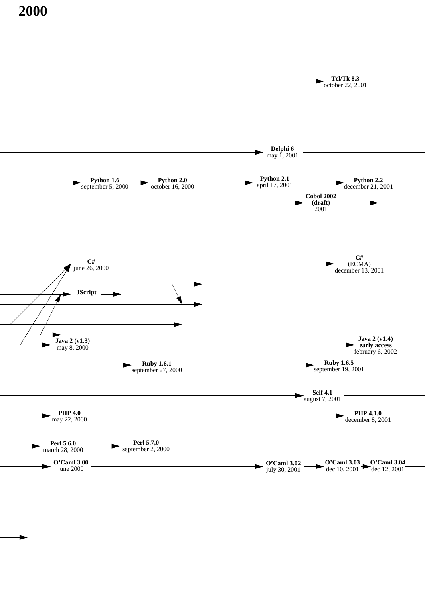**2000**

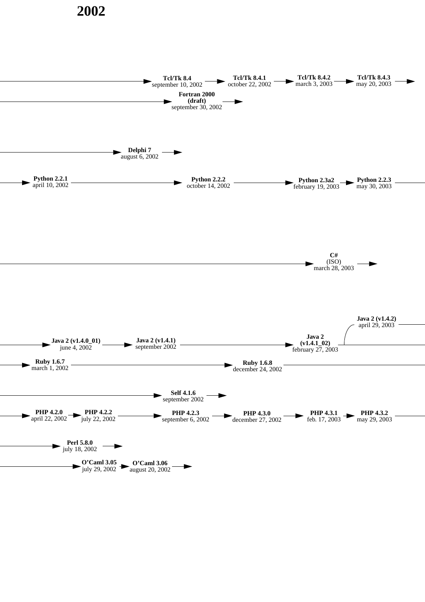## **2002**